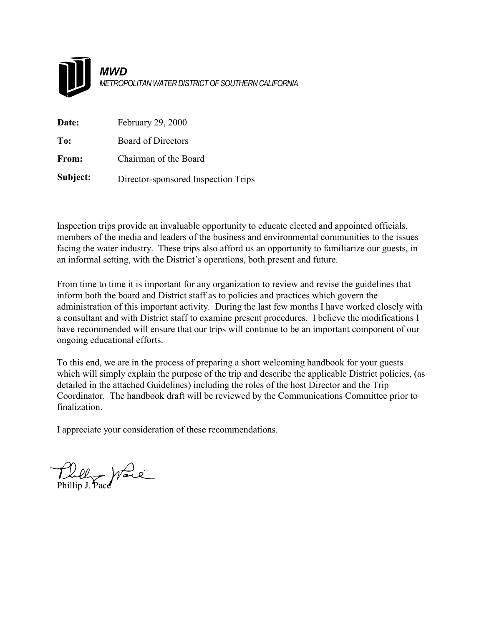

| Date:    | February 29, 2000                   |
|----------|-------------------------------------|
| To:      | <b>Board of Directors</b>           |
| From:    | Chairman of the Board               |
| Subject: | Director-sponsored Inspection Trips |

Inspection trips provide an invaluable opportunity to educate elected and appointed officials, members of the media and leaders of the business and environmental communities to the issues facing the water industry. These trips also afford us an opportunity to familiarize our guests, in an informal setting, with the District's operations, both present and future.

From time to time it is important for any organization to review and revise the guidelines that inform both the board and District staff as to policies and practices which govern the administration of this important activity. During the last few months I have worked closely with a consultant and with District staff to examine present procedures. I believe the modifications I have recommended will ensure that our trips will continue to be an important component of our ongoing educational efforts.

To this end, we are in the process of preparing a short welcoming handbook for your guests which will simply explain the purpose of the trip and describe the applicable District policies, (as detailed in the attached Guidelines) including the roles of the host Director and the Trip Coordinator. The handbook draft will be reviewed by the Communications Committee prior to finalization.

I appreciate your consideration of these recommendations.

Phillip Jerre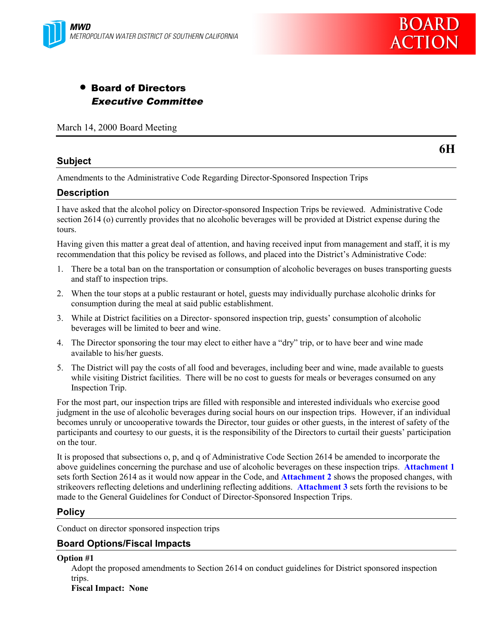

# • Board of Directors Executive Committee

March 14, 2000 Board Meeting

# **Subject**

**6H**

Amendments to the Administrative Code Regarding Director-Sponsored Inspection Trips

### **Description**

I have asked that the alcohol policy on Director-sponsored Inspection Trips be reviewed. Administrative Code section 2614 (o) currently provides that no alcoholic beverages will be provided at District expense during the tours.

Having given this matter a great deal of attention, and having received input from management and staff, it is my recommendation that this policy be revised as follows, and placed into the District's Administrative Code:

- 1. There be a total ban on the transportation or consumption of alcoholic beverages on buses transporting guests and staff to inspection trips.
- 2. When the tour stops at a public restaurant or hotel, guests may individually purchase alcoholic drinks for consumption during the meal at said public establishment.
- 3. While at District facilities on a Director- sponsored inspection trip, guests' consumption of alcoholic beverages will be limited to beer and wine.
- 4. The Director sponsoring the tour may elect to either have a "dry" trip, or to have beer and wine made available to his/her guests.
- 5. The District will pay the costs of all food and beverages, including beer and wine, made available to guests while visiting District facilities. There will be no cost to guests for meals or beverages consumed on any Inspection Trip.

For the most part, our inspection trips are filled with responsible and interested individuals who exercise good judgment in the use of alcoholic beverages during social hours on our inspection trips. However, if an individual becomes unruly or uncooperative towards the Director, tour guides or other guests, in the interest of safety of the participants and courtesy to our guests, it is the responsibility of the Directors to curtail their guests' participation on the tour.

It is proposed that subsections o, p, and q of Administrative Code Section 2614 be amended to incorporate the above guidelines concerning the purchase and use of alcoholic beverages on these inspection trips. **Attachment 1** sets forth Section 2614 as it would now appear in the Code, and **Attachment 2** shows the proposed changes, with strikeovers reflecting deletions and underlining reflecting additions. **Attachment 3** sets forth the revisions to be made to the General Guidelines for Conduct of Director-Sponsored Inspection Trips.

#### **Policy**

Conduct on director sponsored inspection trips

# **Board Options/Fiscal Impacts**

**Option #1**

Adopt the proposed amendments to Section 2614 on conduct guidelines for District sponsored inspection trips.

**Fiscal Impact: None**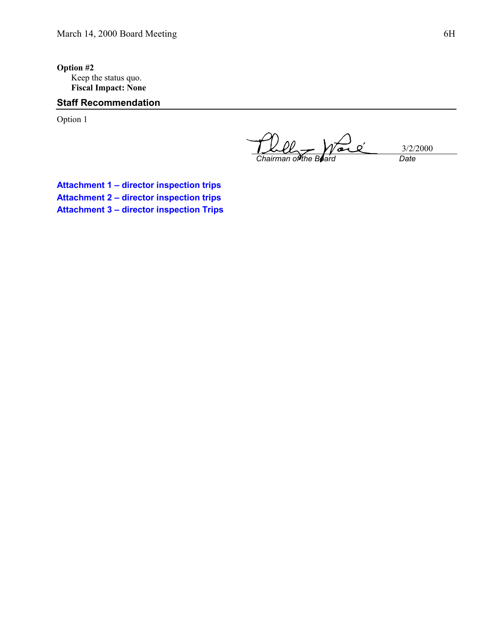**Option #2** Keep the status quo. **Fiscal Impact: None**

# **Staff Recommendation**

Option 1

 $\overline{O}$ 3/2/2000  $\sigma$ *Chairman of the Board Date*

**Attachment 1 – director inspection trips Attachment 2 – director inspection trips Attachment 3 – director inspection Trips**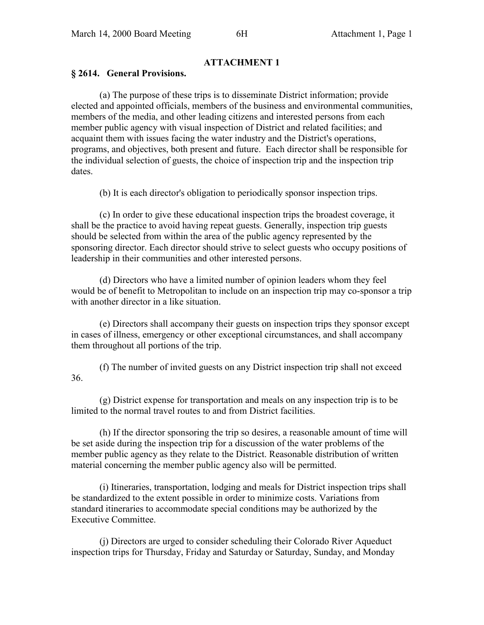# **ATTACHMENT 1**

#### **§ 2614. General Provisions.**

(a) The purpose of these trips is to disseminate District information; provide elected and appointed officials, members of the business and environmental communities, members of the media, and other leading citizens and interested persons from each member public agency with visual inspection of District and related facilities; and acquaint them with issues facing the water industry and the District's operations, programs, and objectives, both present and future. Each director shall be responsible for the individual selection of guests, the choice of inspection trip and the inspection trip dates.

(b) It is each director's obligation to periodically sponsor inspection trips.

(c) In order to give these educational inspection trips the broadest coverage, it shall be the practice to avoid having repeat guests. Generally, inspection trip guests should be selected from within the area of the public agency represented by the sponsoring director. Each director should strive to select guests who occupy positions of leadership in their communities and other interested persons.

(d) Directors who have a limited number of opinion leaders whom they feel would be of benefit to Metropolitan to include on an inspection trip may co-sponsor a trip with another director in a like situation.

(e) Directors shall accompany their guests on inspection trips they sponsor except in cases of illness, emergency or other exceptional circumstances, and shall accompany them throughout all portions of the trip.

(f) The number of invited guests on any District inspection trip shall not exceed 36.

(g) District expense for transportation and meals on any inspection trip is to be limited to the normal travel routes to and from District facilities.

(h) If the director sponsoring the trip so desires, a reasonable amount of time will be set aside during the inspection trip for a discussion of the water problems of the member public agency as they relate to the District. Reasonable distribution of written material concerning the member public agency also will be permitted.

(i) Itineraries, transportation, lodging and meals for District inspection trips shall be standardized to the extent possible in order to minimize costs. Variations from standard itineraries to accommodate special conditions may be authorized by the Executive Committee.

(j) Directors are urged to consider scheduling their Colorado River Aqueduct inspection trips for Thursday, Friday and Saturday or Saturday, Sunday, and Monday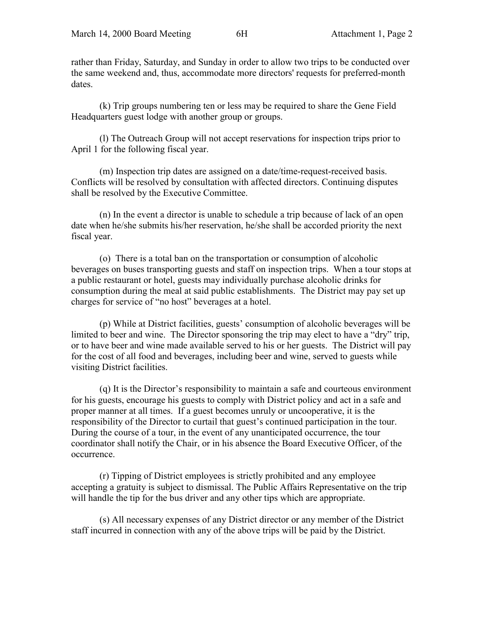rather than Friday, Saturday, and Sunday in order to allow two trips to be conducted over the same weekend and, thus, accommodate more directors' requests for preferred-month dates.

(k) Trip groups numbering ten or less may be required to share the Gene Field Headquarters guest lodge with another group or groups.

(l) The Outreach Group will not accept reservations for inspection trips prior to April 1 for the following fiscal year.

(m) Inspection trip dates are assigned on a date/time-request-received basis. Conflicts will be resolved by consultation with affected directors. Continuing disputes shall be resolved by the Executive Committee.

(n) In the event a director is unable to schedule a trip because of lack of an open date when he/she submits his/her reservation, he/she shall be accorded priority the next fiscal year.

(o) There is a total ban on the transportation or consumption of alcoholic beverages on buses transporting guests and staff on inspection trips. When a tour stops at a public restaurant or hotel, guests may individually purchase alcoholic drinks for consumption during the meal at said public establishments. The District may pay set up charges for service of "no host" beverages at a hotel.

(p) While at District facilities, guests' consumption of alcoholic beverages will be limited to beer and wine. The Director sponsoring the trip may elect to have a "dry" trip, or to have beer and wine made available served to his or her guests. The District will pay for the cost of all food and beverages, including beer and wine, served to guests while visiting District facilities.

(q) It is the Director's responsibility to maintain a safe and courteous environment for his guests, encourage his guests to comply with District policy and act in a safe and proper manner at all times. If a guest becomes unruly or uncooperative, it is the responsibility of the Director to curtail that guest's continued participation in the tour. During the course of a tour, in the event of any unanticipated occurrence, the tour coordinator shall notify the Chair, or in his absence the Board Executive Officer, of the occurrence.

(r) Tipping of District employees is strictly prohibited and any employee accepting a gratuity is subject to dismissal. The Public Affairs Representative on the trip will handle the tip for the bus driver and any other tips which are appropriate.

(s) All necessary expenses of any District director or any member of the District staff incurred in connection with any of the above trips will be paid by the District.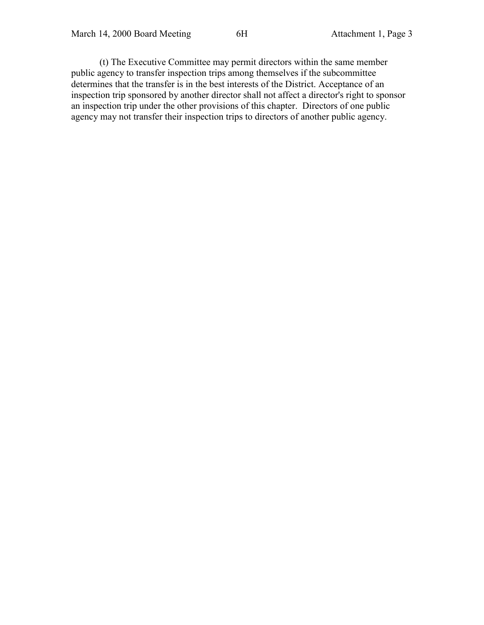(t) The Executive Committee may permit directors within the same member public agency to transfer inspection trips among themselves if the subcommittee determines that the transfer is in the best interests of the District. Acceptance of an inspection trip sponsored by another director shall not affect a director's right to sponsor an inspection trip under the other provisions of this chapter. Directors of one public agency may not transfer their inspection trips to directors of another public agency.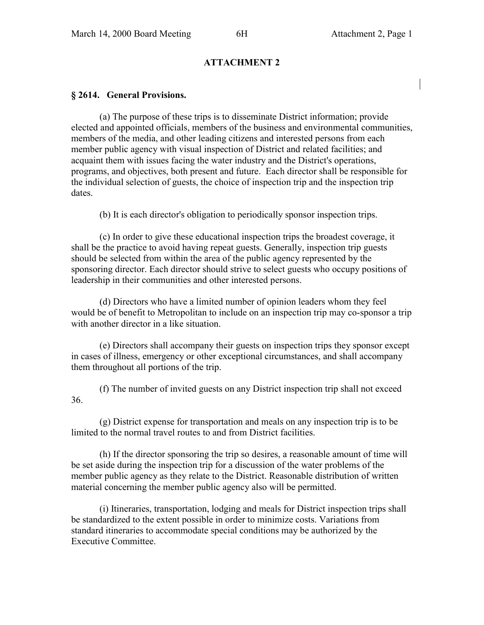### **ATTACHMENT 2**

#### **§ 2614. General Provisions.**

(a) The purpose of these trips is to disseminate District information; provide elected and appointed officials, members of the business and environmental communities, members of the media, and other leading citizens and interested persons from each member public agency with visual inspection of District and related facilities; and acquaint them with issues facing the water industry and the District's operations, programs, and objectives, both present and future. Each director shall be responsible for the individual selection of guests, the choice of inspection trip and the inspection trip dates.

(b) It is each director's obligation to periodically sponsor inspection trips.

(c) In order to give these educational inspection trips the broadest coverage, it shall be the practice to avoid having repeat guests. Generally, inspection trip guests should be selected from within the area of the public agency represented by the sponsoring director. Each director should strive to select guests who occupy positions of leadership in their communities and other interested persons.

(d) Directors who have a limited number of opinion leaders whom they feel would be of benefit to Metropolitan to include on an inspection trip may co-sponsor a trip with another director in a like situation.

(e) Directors shall accompany their guests on inspection trips they sponsor except in cases of illness, emergency or other exceptional circumstances, and shall accompany them throughout all portions of the trip.

(f) The number of invited guests on any District inspection trip shall not exceed 36.

(g) District expense for transportation and meals on any inspection trip is to be limited to the normal travel routes to and from District facilities.

(h) If the director sponsoring the trip so desires, a reasonable amount of time will be set aside during the inspection trip for a discussion of the water problems of the member public agency as they relate to the District. Reasonable distribution of written material concerning the member public agency also will be permitted.

(i) Itineraries, transportation, lodging and meals for District inspection trips shall be standardized to the extent possible in order to minimize costs. Variations from standard itineraries to accommodate special conditions may be authorized by the Executive Committee.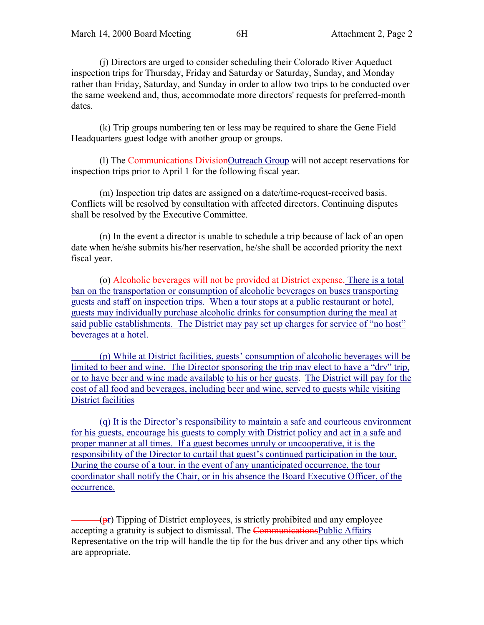(j) Directors are urged to consider scheduling their Colorado River Aqueduct inspection trips for Thursday, Friday and Saturday or Saturday, Sunday, and Monday rather than Friday, Saturday, and Sunday in order to allow two trips to be conducted over the same weekend and, thus, accommodate more directors' requests for preferred-month dates.

(k) Trip groups numbering ten or less may be required to share the Gene Field Headquarters guest lodge with another group or groups.

(l) The Communications DivisionOutreach Group will not accept reservations for inspection trips prior to April 1 for the following fiscal year.

(m) Inspection trip dates are assigned on a date/time-request-received basis. Conflicts will be resolved by consultation with affected directors. Continuing disputes shall be resolved by the Executive Committee.

(n) In the event a director is unable to schedule a trip because of lack of an open date when he/she submits his/her reservation, he/she shall be accorded priority the next fiscal year.

(o) Alcoholic beverages will not be provided at District expense. There is a total ban on the transportation or consumption of alcoholic beverages on buses transporting guests and staff on inspection trips. When a tour stops at a public restaurant or hotel, guests may individually purchase alcoholic drinks for consumption during the meal at said public establishments. The District may pay set up charges for service of "no host" beverages at a hotel.

 (p) While at District facilities, guests' consumption of alcoholic beverages will be limited to beer and wine. The Director sponsoring the trip may elect to have a "dry" trip, or to have beer and wine made available to his or her guests. The District will pay for the cost of all food and beverages, including beer and wine, served to guests while visiting District facilities

 (q) It is the Director's responsibility to maintain a safe and courteous environment for his guests, encourage his guests to comply with District policy and act in a safe and proper manner at all times. If a guest becomes unruly or uncooperative, it is the responsibility of the Director to curtail that guest's continued participation in the tour. During the course of a tour, in the event of any unanticipated occurrence, the tour coordinator shall notify the Chair, or in his absence the Board Executive Officer, of the occurrence.

 $(\text{pr})$  Tipping of District employees, is strictly prohibited and any employee accepting a gratuity is subject to dismissal. The Communications Public Affairs Representative on the trip will handle the tip for the bus driver and any other tips which are appropriate.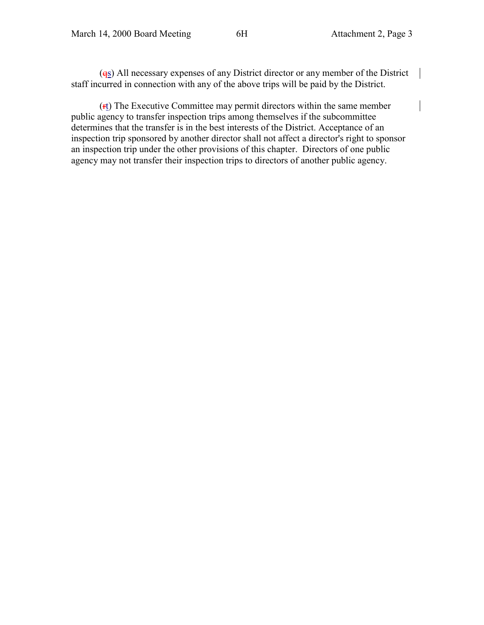$(q<sub>S</sub>)$  All necessary expenses of any District director or any member of the District staff incurred in connection with any of the above trips will be paid by the District.

(rt) The Executive Committee may permit directors within the same member public agency to transfer inspection trips among themselves if the subcommittee determines that the transfer is in the best interests of the District. Acceptance of an inspection trip sponsored by another director shall not affect a director's right to sponsor an inspection trip under the other provisions of this chapter. Directors of one public agency may not transfer their inspection trips to directors of another public agency.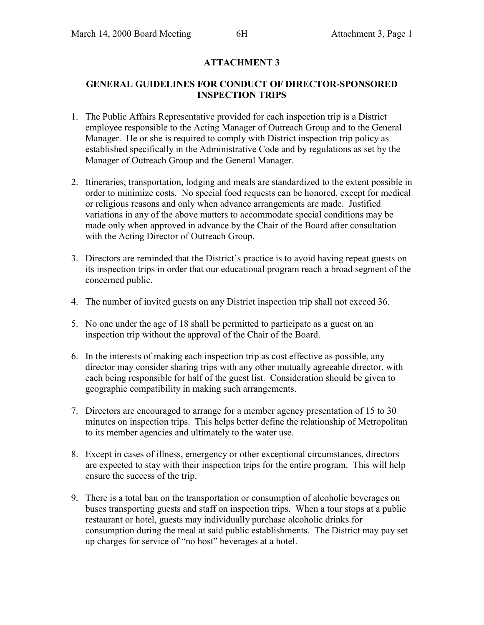# **ATTACHMENT 3**

### **GENERAL GUIDELINES FOR CONDUCT OF DIRECTOR-SPONSORED INSPECTION TRIPS**

- 1. The Public Affairs Representative provided for each inspection trip is a District employee responsible to the Acting Manager of Outreach Group and to the General Manager. He or she is required to comply with District inspection trip policy as established specifically in the Administrative Code and by regulations as set by the Manager of Outreach Group and the General Manager.
- 2. Itineraries, transportation, lodging and meals are standardized to the extent possible in order to minimize costs. No special food requests can be honored, except for medical or religious reasons and only when advance arrangements are made. Justified variations in any of the above matters to accommodate special conditions may be made only when approved in advance by the Chair of the Board after consultation with the Acting Director of Outreach Group.
- 3. Directors are reminded that the District's practice is to avoid having repeat guests on its inspection trips in order that our educational program reach a broad segment of the concerned public.
- 4. The number of invited guests on any District inspection trip shall not exceed 36.
- 5. No one under the age of 18 shall be permitted to participate as a guest on an inspection trip without the approval of the Chair of the Board.
- 6. In the interests of making each inspection trip as cost effective as possible, any director may consider sharing trips with any other mutually agreeable director, with each being responsible for half of the guest list. Consideration should be given to geographic compatibility in making such arrangements.
- 7. Directors are encouraged to arrange for a member agency presentation of 15 to 30 minutes on inspection trips. This helps better define the relationship of Metropolitan to its member agencies and ultimately to the water use.
- 8. Except in cases of illness, emergency or other exceptional circumstances, directors are expected to stay with their inspection trips for the entire program. This will help ensure the success of the trip.
- 9. There is a total ban on the transportation or consumption of alcoholic beverages on buses transporting guests and staff on inspection trips. When a tour stops at a public restaurant or hotel, guests may individually purchase alcoholic drinks for consumption during the meal at said public establishments. The District may pay set up charges for service of "no host" beverages at a hotel.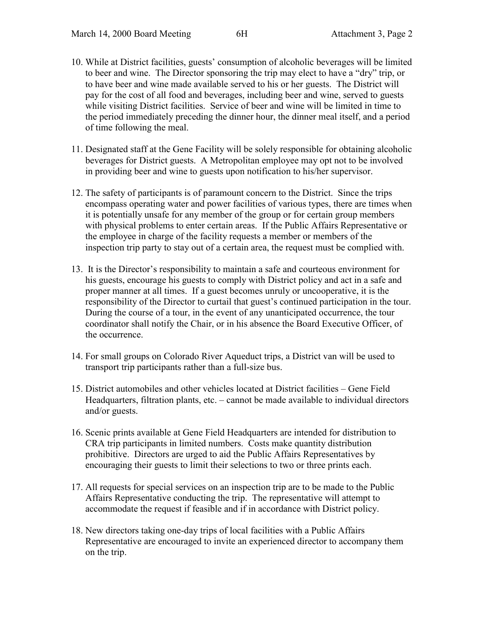- 10. While at District facilities, guests' consumption of alcoholic beverages will be limited to beer and wine. The Director sponsoring the trip may elect to have a "dry" trip, or to have beer and wine made available served to his or her guests. The District will pay for the cost of all food and beverages, including beer and wine, served to guests while visiting District facilities. Service of beer and wine will be limited in time to the period immediately preceding the dinner hour, the dinner meal itself, and a period of time following the meal.
- 11. Designated staff at the Gene Facility will be solely responsible for obtaining alcoholic beverages for District guests. A Metropolitan employee may opt not to be involved in providing beer and wine to guests upon notification to his/her supervisor.
- 12. The safety of participants is of paramount concern to the District. Since the trips encompass operating water and power facilities of various types, there are times when it is potentially unsafe for any member of the group or for certain group members with physical problems to enter certain areas. If the Public Affairs Representative or the employee in charge of the facility requests a member or members of the inspection trip party to stay out of a certain area, the request must be complied with.
- 13. It is the Director's responsibility to maintain a safe and courteous environment for his guests, encourage his guests to comply with District policy and act in a safe and proper manner at all times. If a guest becomes unruly or uncooperative, it is the responsibility of the Director to curtail that guest's continued participation in the tour. During the course of a tour, in the event of any unanticipated occurrence, the tour coordinator shall notify the Chair, or in his absence the Board Executive Officer, of the occurrence.
- 14. For small groups on Colorado River Aqueduct trips, a District van will be used to transport trip participants rather than a full-size bus.
- 15. District automobiles and other vehicles located at District facilities Gene Field Headquarters, filtration plants, etc. – cannot be made available to individual directors and/or guests.
- 16. Scenic prints available at Gene Field Headquarters are intended for distribution to CRA trip participants in limited numbers. Costs make quantity distribution prohibitive. Directors are urged to aid the Public Affairs Representatives by encouraging their guests to limit their selections to two or three prints each.
- 17. All requests for special services on an inspection trip are to be made to the Public Affairs Representative conducting the trip. The representative will attempt to accommodate the request if feasible and if in accordance with District policy.
- 18. New directors taking one-day trips of local facilities with a Public Affairs Representative are encouraged to invite an experienced director to accompany them on the trip.